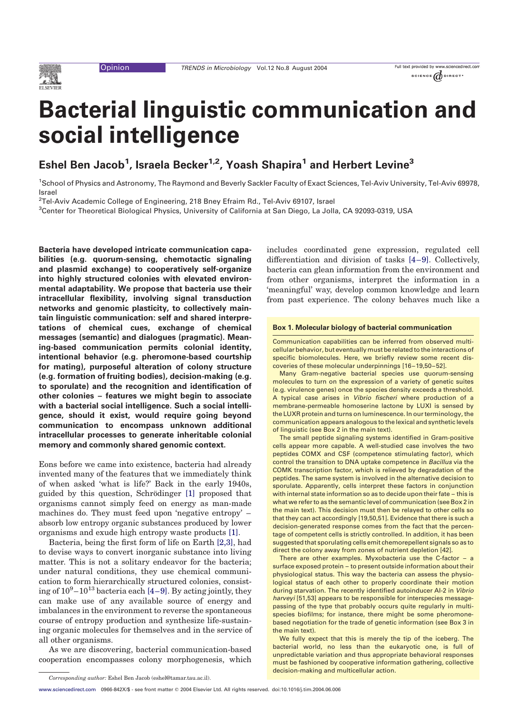<span id="page-0-0"></span>

# Bacterial linguistic communication and social intelligence

Eshel Ben Jacob<sup>1</sup>, Israela Becker<sup>1,2</sup>, Yoash Shapira<sup>1</sup> and Herbert Levine<sup>3</sup>

1 School of Physics and Astronomy, The Raymond and Beverly Sackler Faculty of Exact Sciences, Tel-Aviv University, Tel-Aviv 69978, Israel

 $^2$ Tel-Aviv Academic College of Engineering, 218 Bney Efraim Rd., Tel-Aviv 69107, Israel

3 Center for Theoretical Biological Physics, University of California at San Diego, La Jolla, CA 92093-0319, USA

Bacteria have developed intricate communication capabilities (e.g. quorum-sensing, chemotactic signaling and plasmid exchange) to cooperatively self-organize into highly structured colonies with elevated environmental adaptability. We propose that bacteria use their intracellular flexibility, involving signal transduction networks and genomic plasticity, to collectively maintain linguistic communication: self and shared interpretations of chemical cues, exchange of chemical messages (semantic) and dialogues (pragmatic). Meaning-based communication permits colonial identity, intentional behavior (e.g. pheromone-based courtship for mating), purposeful alteration of colony structure (e.g. formation of fruiting bodies), decision-making (e.g. to sporulate) and the recognition and identification of other colonies – features we might begin to associate with a bacterial social intelligence. Such a social intelligence, should it exist, would require going beyond communication to encompass unknown additional intracellular processes to generate inheritable colonial memory and commonly shared genomic context.

Eons before we came into existence, bacteria had already invented many of the features that we immediately think of when asked 'what is life?' Back in the early 1940s, guided by this question, Schrödinger [\[1\]](#page-5-0) proposed that organisms cannot simply feed on energy as man-made machines do. They must feed upon 'negative entropy' – absorb low entropy organic substances produced by lower organisms and exude high entropy waste products [\[1\]](#page-5-0).

Bacteria, being the first form of life on Earth [\[2,3\]](#page-5-0), had to devise ways to convert inorganic substance into living matter. This is not a solitary endeavor for the bacteria; under natural conditions, they use chemical communication to form hierarchically structured colonies, consisting of  $10^9 - 10^{13}$  bacteria each [\[4–9\].](#page-5-0) By acting jointly, they can make use of any available source of energy and imbalances in the environment to reverse the spontaneous course of entropy production and synthesize life-sustaining organic molecules for themselves and in the service of all other organisms.

As we are discovering, bacterial communication-based cooperation encompasses colony morphogenesis, which includes coordinated gene expression, regulated cell differentiation and division of tasks [\[4–9\]](#page-5-0). Collectively, bacteria can glean information from the environment and from other organisms, interpret the information in a 'meaningful' way, develop common knowledge and learn from past experience. The colony behaves much like a

#### Box 1. Molecular biology of bacterial communication

Communication capabilities can be inferred from observed multicellular behavior, but eventuallymust be related to the interactions of specific biomolecules. Here, we briefly review some recent discoveries of these molecular underpinnings [16 –19,50–52].

Many Gram-negative bacterial species use quorum-sensing molecules to turn on the expression of a variety of genetic suites (e.g. virulence genes) once the species density exceeds a threshold. A typical case arises in Vibrio fischeri where production of a membrane-permeable homoserine lactone by LUXI is sensed by the LUXR protein and turns on luminescence. In our terminology, the communication appears analogous to the lexical and synthetic levels of linguistic (see Box 2 in the main text).

The small peptide signaling systems identified in Gram-positive cells appear more capable. A well-studied case involves the two peptides COMX and CSF (competence stimulating factor), which control the transition to DNA uptake competence in Bacillus via the COMK transcription factor, which is relieved by degradation of the peptides. The same system is involved in the alternative decision to sporulate. Apparently, cells interpret these factors in conjunction with internal state information so as to decide upon their fate – this is what we refer to as the semantic level of communication (see Box 2 in the main text). This decision must then be relayed to other cells so that they can act accordingly [19,50,51]. Evidence that there is such a decision-generated response comes from the fact that the percentage of competent cells is strictly controlled. In addition, it has been suggested that sporulating cells emit chemorepellent signals so as to direct the colony away from zones of nutrient depletion [42].

There are other examples. Myxobacteria use the C-factor – a surface exposed protein – to present outside information about their physiological status. This way the bacteria can assess the physiological status of each other to properly coordinate their motion during starvation. The recently identified autoinducer AI-2 in Vibrio harveyi [51,53] appears to be responsible for interspecies messagepassing of the type that probably occurs quite regularly in multispecies biofilms; for instance, there might be some pheromonebased negotiation for the trade of genetic information (see Box 3 in the main text).

We fully expect that this is merely the tip of the iceberg. The bacterial world, no less than the eukaryotic one, is full of unpredictable variation and thus appropriate behavioral responses must be fashioned by cooperative information gathering, collective decision-making and multicellular action.

Corresponding author: Eshel Ben Jacob (eshel@tamar.tau.ac.il).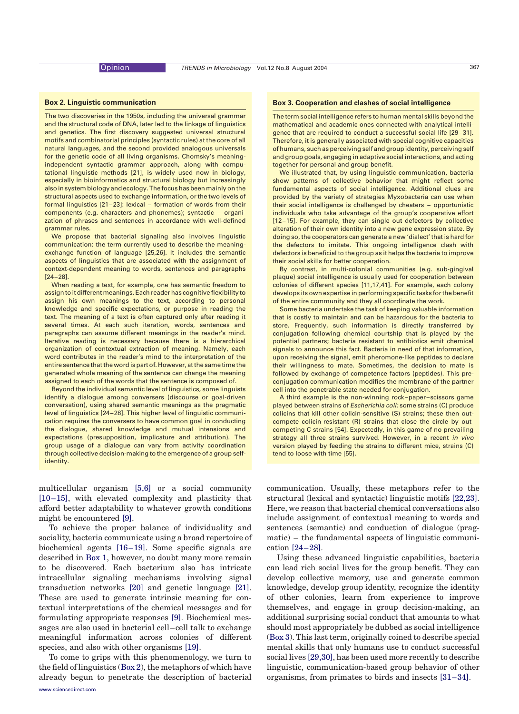#### <span id="page-1-0"></span>Box 2. Linguistic communication

The two discoveries in the 1950s, including the universal grammar and the structural code of DNA, later led to the linkage of linguistics and genetics. The first discovery suggested universal structural motifs and combinatorial principles (syntactic rules) at the core of all natural languages, and the second provided analogous universals for the genetic code of all living organisms. Chomsky's meaningindependent syntactic grammar approach, along with computational linguistic methods [21], is widely used now in biology, especially in bioinformatics and structural biology but increasingly also in system biology and ecology. The focus has been mainly on the structural aspects used to exchange information, or the two levels of formal linguistics [21 –23]: lexical – formation of words from their components (e.g. characters and phonemes); syntactic – organization of phrases and sentences in accordance with well-defined grammar rules.

We propose that bacterial signaling also involves linguistic communication: the term currently used to describe the meaningexchange function of language [25,26]. It includes the semantic aspects of linguistics that are associated with the assignment of context-dependent meaning to words, sentences and paragraphs  $[24 - 28]$ .

When reading a text, for example, one has semantic freedom to assign to it different meanings. Each reader has cognitive flexibility to assign his own meanings to the text, according to personal knowledge and specific expectations, or purpose in reading the text. The meaning of a text is often captured only after reading it several times. At each such iteration, words, sentences and paragraphs can assume different meanings in the reader's mind. Iterative reading is necessary because there is a hierarchical organization of contextual extraction of meaning. Namely, each word contributes in the reader's mind to the interpretation of the entire sentence that the word is part of. However, at the same time the generated whole meaning of the sentence can change the meaning assigned to each of the words that the sentence is composed of.

Beyond the individual semantic level of linguistics, some linguists identify a dialogue among conversers (discourse or goal-driven conversation), using shared semantic meanings as the pragmatic level of linguistics [24 –28]. This higher level of linguistic communication requires the conversers to have common goal in conducting the dialogue, shared knowledge and mutual intensions and expectations (presupposition, implicature and attribution). The group usage of a dialogue can vary from activity coordination through collective decision-making to the emergence of a group selfidentity.

multicellular organism [\[5,6\]](#page-6-0) or a social community [\[10–15\]](#page-6-0), with elevated complexity and plasticity that afford better adaptability to whatever growth conditions might be encountered [\[9\].](#page-6-0)

To achieve the proper balance of individuality and sociality, bacteria communicate using a broad repertoire of biochemical agents [\[16–19\].](#page-6-0) Some specific signals are described in [Box 1,](#page-0-0) however, no doubt many more remain to be discovered. Each bacterium also has intricate intracellular signaling mechanisms involving signal transduction networks [\[20\]](#page-6-0) and genetic language [\[21\]](#page-6-0). These are used to generate intrinsic meaning for contextual interpretations of the chemical messages and for formulating appropriate responses [\[9\].](#page-6-0) Biochemical messages are also used in bacterial cell–cell talk to exchange meaningful information across colonies of different species, and also with other organisms [\[19\].](#page-6-0)

To come to grips with this phenomenology, we turn to the field of linguistics (Box 2), the metaphors of which have already begun to penetrate the description of bacterial

#### Box 3. Cooperation and clashes of social intelligence

The term social intelligence refers to human mental skills beyond the mathematical and academic ones connected with analytical intelligence that are required to conduct a successful social life [29-31]. Therefore, it is generally associated with special cognitive capacities of humans, such as perceiving self and group identity, perceiving self and group goals, engaging in adaptive social interactions, and acting together for personal and group benefit.

We illustrated that, by using linguistic communication, bacteria show patterns of collective behavior that might reflect some fundamental aspects of social intelligence. Additional clues are provided by the variety of strategies Myxobacteria can use when their social intelligence is challenged by cheaters – opportunistic individuals who take advantage of the group's cooperative effort [12-15]. For example, they can single out defectors by collective alteration of their own identity into a new gene expression state. By doing so, the cooperators can generate a new 'dialect' that is hard for the defectors to imitate. This ongoing intelligence clash with defectors is beneficial to the group as it helps the bacteria to improve their social skills for better cooperation.

By contrast, in multi-colonial communities (e.g. sub-gingival plaque) social intelligence is usually used for cooperation between colonies of different species [11,17,41]. For example, each colony develops its own expertise in performing specific tasks for the benefit of the entire community and they all coordinate the work.

Some bacteria undertake the task of keeping valuable information that is costly to maintain and can be hazardous for the bacteria to store. Frequently, such information is directly transferred by conjugation following chemical courtship that is played by the potential partners; bacteria resistant to antibiotics emit chemical signals to announce this fact. Bacteria in need of that information, upon receiving the signal, emit pheromone-like peptides to declare their willingness to mate. Sometimes, the decision to mate is followed by exchange of competence factors (peptides). This preconjugation communication modifies the membrane of the partner cell into the penetrable state needed for conjugation.

A third example is the non-winning rock –paper –scissors game played between strains of Escherichia coli: some strains (C) produce colicins that kill other colicin-sensitive (S) strains; these then outcompete colicin-resistant (R) strains that close the circle by outcompeting C strains [54]. Expectedly, in this game of no prevailing strategy all three strains survived. However, in a recent in vivo version played by feeding the strains to different mice, strains (C) tend to loose with time [55].

communication. Usually, these metaphors refer to the structural (lexical and syntactic) linguistic motifs [\[22,23\]](#page-6-0). Here, we reason that bacterial chemical conversations also include assignment of contextual meaning to words and sentences (semantic) and conduction of dialogue (pragmatic) – the fundamental aspects of linguistic communication [\[24–28\].](#page-6-0)

Using these advanced linguistic capabilities, bacteria can lead rich social lives for the group benefit. They can develop collective memory, use and generate common knowledge, develop group identity, recognize the identity of other colonies, learn from experience to improve themselves, and engage in group decision-making, an additional surprising social conduct that amounts to what should most appropriately be dubbed as social intelligence (Box 3). This last term, originally coined to describe special mental skills that only humans use to conduct successful social lives [\[29,30\],](#page-6-0) has been used more recently to describe linguistic, communication-based group behavior of other organisms, from primates to birds and insects [\[31–34\]](#page-6-0).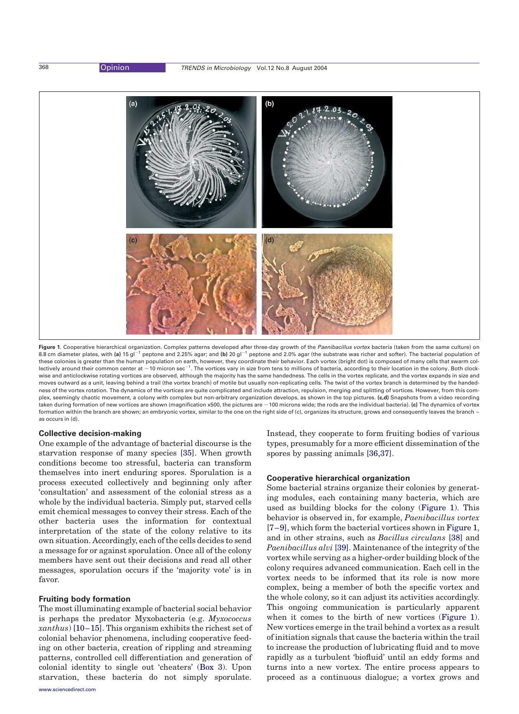

Figure 1. Cooperative hierarchical organization. Complex patterns developed after three-day growth of the Paenibacillus vortex bacteria (taken from the same culture) on 8.8 cm diameter plates, with (a) 15 gl<sup>-1</sup> peptone and 2.25% agar; and (b) 20 gl<sup>-1</sup> peptone and 2.0% agar (the substrate was richer and softer). The bacterial population of these colonies is greater than the human population on earth, however, they coordinate their behavior. Each vortex (bright dot) is composed of many cells that swarm collectively around their common center at  $\sim$  10 micron sec $^{-1}$ . The vortices vary in size from tens to millions of bacteria, according to their location in the colony. Both clockwise and anticlockwise rotating vortices are observed, although the majority has the same handedness. The cells in the vortex replicate, and the vortex expands in size and moves outward as a unit, leaving behind a trail (the vortex branch) of motile but usually non-replicating cells. The twist of the vortex branch is determined by the handedness of the vortex rotation. The dynamics of the vortices are quite complicated and include attraction, repulsion, merging and splitting of vortices. However, from this complex, seemingly chaotic movement, a colony with complex but non-arbitrary organization develops, as shown in the top pictures. (c,d) Snapshots from a video recording taken during formation of new vortices are shown (magnification x500, the pictures are  $\sim$  100 microns wide; the rods are the individual bacteria). (c) The dynamics of vortex formation within the branch are shown; an embryonic vortex, similar to the one on the right side of (c), organizes its structure, grows and consequently leaves the branch – as occurs in (d).

### Collective decision-making

One example of the advantage of bacterial discourse is the starvation response of many species [\[35\]](#page-6-0). When growth conditions become too stressful, bacteria can transform themselves into inert enduring spores. Sporulation is a process executed collectively and beginning only after 'consultation' and assessment of the colonial stress as a whole by the individual bacteria. Simply put, starved cells emit chemical messages to convey their stress. Each of the other bacteria uses the information for contextual interpretation of the state of the colony relative to its own situation. Accordingly, each of the cells decides to send a message for or against sporulation. Once all of the colony members have sent out their decisions and read all other messages, sporulation occurs if the 'majority vote' is in favor.

## Fruiting body formation

The most illuminating example of bacterial social behavior is perhaps the predator Myxobacteria (e.g. Myxococcus xanthus) [\[10–15\]](#page-6-0). This organism exhibits the richest set of colonial behavior phenomena, including cooperative feeding on other bacteria, creation of rippling and streaming patterns, controlled cell differentiation and generation of colonial identity to single out 'cheaters' ([Box 3](#page-1-0)). Upon starvation, these bacteria do not simply sporulate.

Instead, they cooperate to form fruiting bodies of various types, presumably for a more efficient dissemination of the spores by passing animals [\[36,37\]](#page-6-0).

## Cooperative hierarchical organization

Some bacterial strains organize their colonies by generating modules, each containing many bacteria, which are used as building blocks for the colony (Figure 1). This behavior is observed in, for example, Paenibacillus vortex [\[7–9\],](#page-6-0) which form the bacterial vortices shown in Figure 1, and in other strains, such as Bacillus circulans [\[38\]](#page-6-0) and Paenibacillus alvi [\[39\].](#page-6-0) Maintenance of the integrity of the vortex while serving as a higher-order building block of the colony requires advanced communication. Each cell in the vortex needs to be informed that its role is now more complex, being a member of both the specific vortex and the whole colony, so it can adjust its activities accordingly. This ongoing communication is particularly apparent when it comes to the birth of new vortices (Figure 1). New vortices emerge in the trail behind a vortex as a result of initiation signals that cause the bacteria within the trail to increase the production of lubricating fluid and to move rapidly as a turbulent 'biofluid' until an eddy forms and turns into a new vortex. The entire process appears to proceed as a continuous dialogue; a vortex grows and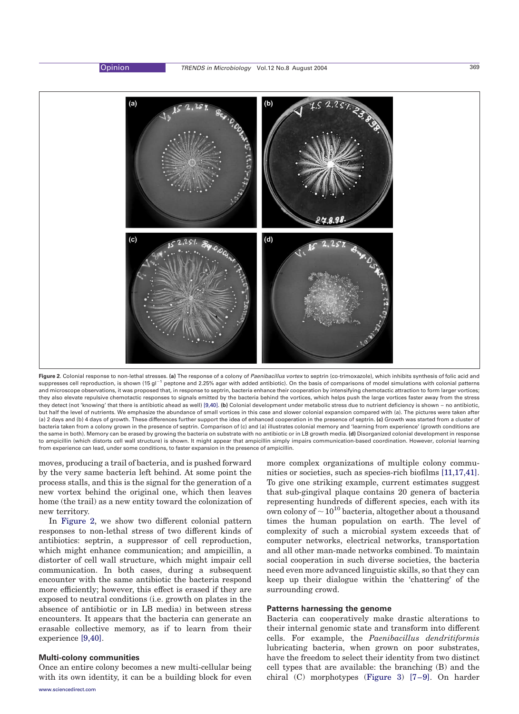

Figure 2. Colonial response to non-lethal stresses. (a) The response of a colony of Paenibacillus vortex to septrin (co-trimoxazole), which inhibits synthesis of folic acid and suppresses cell reproduction, is shown (15 gl<sup>-1</sup> peptone and 2.25% agar with added antibiotic). On the basis of comparisons of model simulations with colonial patterns and microscope observations, it was proposed that, in response to septrin, bacteria enhance their cooperation by intensifying chemotactic attraction to form larger vortices; they also elevate repulsive chemotactic responses to signals emitted by the bacteria behind the vortices, which helps push the large vortices faster away from the stress they detect (not 'knowing' that there is antibiotic ahead as well) [\[9,40\]](#page-6-0). (b) Colonial development under metabolic stress due to nutrient deficiency is shown – no antibiotic, but half the level of nutrients. We emphasize the abundance of small vortices in this case and slower colonial expansion compared with (a). The pictures were taken after (a) 2 days and (b) 4 days of growth. These differences further support the idea of enhanced cooperation in the presence of septrin. (c) Growth was started from a cluster of bacteria taken from a colony grown in the presence of septrin. Comparison of (c) and (a) illustrates colonial memory and 'learning from experience' (growth conditions are the same in both). Memory can be erased by growing the bacteria on substrate with no antibiotic or in LB growth media. (d) Disorganized colonial development in response to ampicillin (which distorts cell wall structure) is shown. It might appear that ampicillin simply impairs communication-based coordination. However, colonial learning from experience can lead, under some conditions, to faster expansion in the presence of ampicillin.

moves, producing a trail of bacteria, and is pushed forward by the very same bacteria left behind. At some point the process stalls, and this is the signal for the generation of a new vortex behind the original one, which then leaves home (the trail) as a new entity toward the colonization of new territory.

In Figure 2, we show two different colonial pattern responses to non-lethal stress of two different kinds of antibiotics: septrin, a suppressor of cell reproduction, which might enhance communication; and ampicillin, a distorter of cell wall structure, which might impair cell communication. In both cases, during a subsequent encounter with the same antibiotic the bacteria respond more efficiently; however, this effect is erased if they are exposed to neutral conditions (i.e. growth on plates in the absence of antibiotic or in LB media) in between stress encounters. It appears that the bacteria can generate an erasable collective memory, as if to learn from their experience [\[9,40\]](#page-6-0).

# Multi-colony communities

Once an entire colony becomes a new multi-cellular being with its own identity, it can be a building block for even

more complex organizations of multiple colony commu-nities or societies, such as species-rich biofilms [\[11,17,41\]](#page-6-0). To give one striking example, current estimates suggest that sub-gingival plaque contains 20 genera of bacteria representing hundreds of different species, each with its own colony of  $\sim 10^{10}$  bacteria, altogether about a thousand times the human population on earth. The level of complexity of such a microbial system exceeds that of computer networks, electrical networks, transportation and all other man-made networks combined. To maintain social cooperation in such diverse societies, the bacteria need even more advanced linguistic skills, so that they can keep up their dialogue within the 'chattering' of the surrounding crowd.

# Patterns harnessing the genome

Bacteria can cooperatively make drastic alterations to their internal genomic state and transform into different cells. For example, the Paenibacillus dendritiformis lubricating bacteria, when grown on poor substrates, have the freedom to select their identity from two distinct cell types that are available: the branching (B) and the chiral (C) morphotypes ([Figure 3\)](#page-4-0) [\[7–9\]](#page-6-0). On harder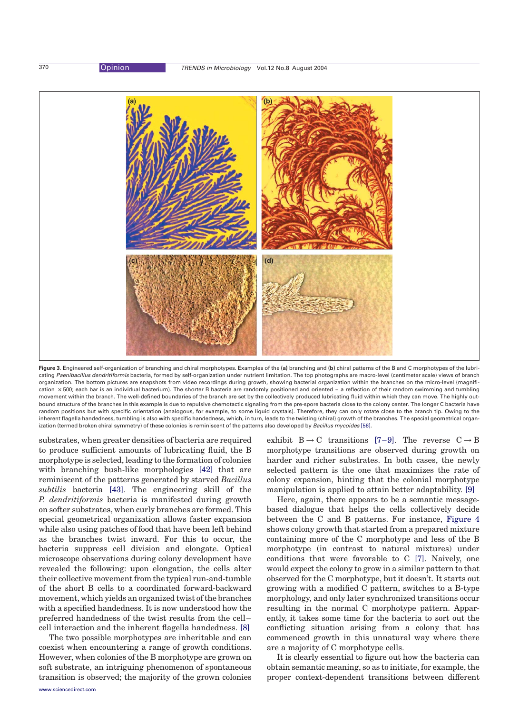<span id="page-4-0"></span>

Figure 3. Engineered self-organization of branching and chiral morphotypes. Examples of the (a) branching and (b) chiral patterns of the B and C morphotypes of the lubricating Paenibacillus dendritiformis bacteria, formed by self-organization under nutrient limitation. The top photographs are macro-level (centimeter scale) views of branch organization. The bottom pictures are snapshots from video recordings during growth, showing bacterial organization within the branches on the micro-level (magnification × 500; each bar is an individual bacterium). The shorter B bacteria are randomly positioned and oriented - a reflection of their random swimming and tumbling movement within the branch. The well-defined boundaries of the branch are set by the collectively produced lubricating fluid within which they can move. The highly outbound structure of the branches in this example is due to repulsive chemotactic signaling from the pre-spore bacteria close to the colony center. The longer C bacteria have random positions but with specific orientation (analogous, for example, to some liquid crystals). Therefore, they can only rotate close to the branch tip. Owing to the inherent flagella handedness, tumbling is also with specific handedness, which, in turn, leads to the twisting (chiral) growth of the branches. The special geometrical organ-ization (termed broken chiral symmetry) of these colonies is reminiscent of the patterns also developed by Bacillus mycoides [\[56\]](#page-6-0).

substrates, when greater densities of bacteria are required to produce sufficient amounts of lubricating fluid, the B morphotype is selected, leading to the formation of colonies with branching bush-like morphologies [\[42\]](#page-6-0) that are reminiscent of the patterns generated by starved Bacillus subtilis bacteria [\[43\].](#page-6-0) The engineering skill of the P. dendritiformis bacteria is manifested during growth on softer substrates, when curly branches are formed. This special geometrical organization allows faster expansion while also using patches of food that have been left behind as the branches twist inward. For this to occur, the bacteria suppress cell division and elongate. Optical microscope observations during colony development have revealed the following: upon elongation, the cells alter their collective movement from the typical run-and-tumble of the short B cells to a coordinated forward-backward movement, which yields an organized twist of the branches with a specified handedness. It is now understood how the preferred handedness of the twist results from the cell– cell interaction and the inherent flagella handedness. [\[8\]](#page-6-0)

The two possible morphotypes are inheritable and can coexist when encountering a range of growth conditions. However, when colonies of the B morphotype are grown on soft substrate, an intriguing phenomenon of spontaneous transition is observed; the majority of the grown colonies exhibit  $B \rightarrow C$  transitions [\[7–9\].](#page-6-0) The reverse  $C \rightarrow B$ morphotype transitions are observed during growth on harder and richer substrates. In both cases, the newly selected pattern is the one that maximizes the rate of colony expansion, hinting that the colonial morphotype manipulation is applied to attain better adaptability. [\[9\]](#page-6-0)

Here, again, there appears to be a semantic messagebased dialogue that helps the cells collectively decide between the C and B patterns. For instance, [Figure 4](#page-5-0) shows colony growth that started from a prepared mixture containing more of the C morphotype and less of the B morphotype (in contrast to natural mixtures) under conditions that were favorable to C [\[7\].](#page-6-0) Naively, one would expect the colony to grow in a similar pattern to that observed for the C morphotype, but it doesn't. It starts out growing with a modified C pattern, switches to a B-type morphology, and only later synchronized transitions occur resulting in the normal C morphotype pattern. Apparently, it takes some time for the bacteria to sort out the conflicting situation arising from a colony that has commenced growth in this unnatural way where there are a majority of C morphotype cells.

It is clearly essential to figure out how the bacteria can obtain semantic meaning, so as to initiate, for example, the proper context-dependent transitions between different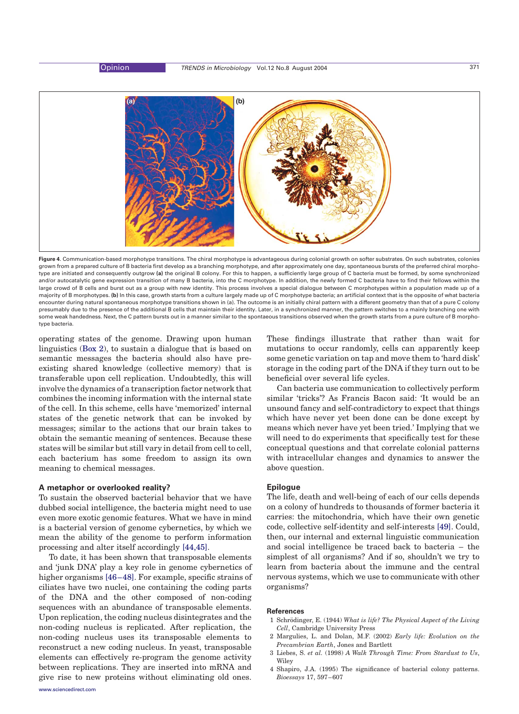<span id="page-5-0"></span>

Figure 4. Communication-based morphotype transitions. The chiral morphotype is advantageous during colonial growth on softer substrates. On such substrates, colonies grown from a prepared culture of B bacteria first develop as a branching morphotype, and after approximately one day, spontaneous bursts of the preferred chiral morphotype are initiated and consequently outgrow (a) the original B colony. For this to happen, a sufficiently large group of C bacteria must be formed, by some synchronized and/or autocatalytic gene expression transition of many B bacteria, into the C morphotype. In addition, the newly formed C bacteria have to find their fellows within the large crowd of B cells and burst out as a group with new identity. This process involves a special dialogue between C morphotypes within a population made up of a majority of B morphotypes. (b) In this case, growth starts from a culture largely made up of C morphotype bacteria; an artificial context that is the opposite of what bacteria encounter during natural spontaneous morphotype transitions shown in (a). The outcome is an initially chiral pattern with a different geometry than that of a pure C colony presumably due to the presence of the additional B cells that maintain their identity. Later, in a synchronized manner, the pattern switches to a mainly branching one with some weak handedness. Next, the C pattern bursts out in a manner similar to the spontaeous transitions observed when the growth starts from a pure culture of B morphotype bacteria.

operating states of the genome. Drawing upon human linguistics [\(Box 2](#page-1-0)), to sustain a dialogue that is based on semantic messages the bacteria should also have preexisting shared knowledge (collective memory) that is transferable upon cell replication. Undoubtedly, this will involve the dynamics of a transcription factor network that combines the incoming information with the internal state of the cell. In this scheme, cells have 'memorized' internal states of the genetic network that can be invoked by messages; similar to the actions that our brain takes to obtain the semantic meaning of sentences. Because these states will be similar but still vary in detail from cell to cell, each bacterium has some freedom to assign its own meaning to chemical messages.

# A metaphor or overlooked reality?

To sustain the observed bacterial behavior that we have dubbed social intelligence, the bacteria might need to use even more exotic genomic features. What we have in mind is a bacterial version of genome cybernetics, by which we mean the ability of the genome to perform information processing and alter itself accordingly [\[44,45\].](#page-6-0)

To date, it has been shown that transposable elements and 'junk DNA' play a key role in genome cybernetics of higher organisms [\[46–48\]](#page-6-0). For example, specific strains of ciliates have two nuclei, one containing the coding parts of the DNA and the other composed of non-coding sequences with an abundance of transposable elements. Upon replication, the coding nucleus disintegrates and the non-coding nucleus is replicated. After replication, the non-coding nucleus uses its transposable elements to reconstruct a new coding nucleus. In yeast, transposable elements can effectively re-program the genome activity between replications. They are inserted into mRNA and give rise to new proteins without eliminating old ones.

These findings illustrate that rather than wait for mutations to occur randomly, cells can apparently keep some genetic variation on tap and move them to 'hard disk' storage in the coding part of the DNA if they turn out to be beneficial over several life cycles.

Can bacteria use communication to collectively perform similar 'tricks'? As Francis Bacon said: 'It would be an unsound fancy and self-contradictory to expect that things which have never yet been done can be done except by means which never have yet been tried.' Implying that we will need to do experiments that specifically test for these conceptual questions and that correlate colonial patterns with intracellular changes and dynamics to answer the above question.

### Epilogue

The life, death and well-being of each of our cells depends on a colony of hundreds to thousands of former bacteria it carries: the mitochondria, which have their own genetic code, collective self-identity and self-interests [\[49\]](#page-6-0). Could, then, our internal and external linguistic communication and social intelligence be traced back to bacteria – the simplest of all organisms? And if so, shouldn't we try to learn from bacteria about the immune and the central nervous systems, which we use to communicate with other organisms?

#### **References**

- 1 Schrödinger, E. (1944) What is life? The Physical Aspect of the Living Cell, Cambridge University Press
- 2 Margulies, L. and Dolan, M.F. (2002) Early life: Evolution on the Precambrian Earth, Jones and Bartlett
- 3 Liebes, S. et al. (1998) A Walk Through Time: From Stardust to Us, Wiley
- 4 Shapiro, J.A. (1995) The significance of bacterial colony patterns. Bioessays 17, 597–607